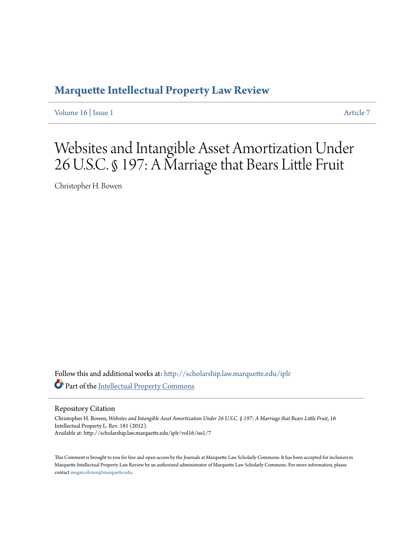# **[Marquette Intellectual Property Law Review](http://scholarship.law.marquette.edu/iplr?utm_source=scholarship.law.marquette.edu%2Fiplr%2Fvol16%2Fiss1%2F7&utm_medium=PDF&utm_campaign=PDFCoverPages)**

[Volume 16](http://scholarship.law.marquette.edu/iplr/vol16?utm_source=scholarship.law.marquette.edu%2Fiplr%2Fvol16%2Fiss1%2F7&utm_medium=PDF&utm_campaign=PDFCoverPages) | [Issue 1](http://scholarship.law.marquette.edu/iplr/vol16/iss1?utm_source=scholarship.law.marquette.edu%2Fiplr%2Fvol16%2Fiss1%2F7&utm_medium=PDF&utm_campaign=PDFCoverPages) [Article 7](http://scholarship.law.marquette.edu/iplr/vol16/iss1/7?utm_source=scholarship.law.marquette.edu%2Fiplr%2Fvol16%2Fiss1%2F7&utm_medium=PDF&utm_campaign=PDFCoverPages)

Websites and Intangible Asset Amortization Under 26 U.S.C. § 197: A Marriage that Bears Little Fruit

Christopher H. Bowen

Follow this and additional works at: [http://scholarship.law.marquette.edu/iplr](http://scholarship.law.marquette.edu/iplr?utm_source=scholarship.law.marquette.edu%2Fiplr%2Fvol16%2Fiss1%2F7&utm_medium=PDF&utm_campaign=PDFCoverPages) Part of the [Intellectual Property Commons](http://network.bepress.com/hgg/discipline/896?utm_source=scholarship.law.marquette.edu%2Fiplr%2Fvol16%2Fiss1%2F7&utm_medium=PDF&utm_campaign=PDFCoverPages)

Repository Citation

Christopher H. Bowen, *Websites and Intangible Asset Amortization Under 26 U.S.C. § 197: A Marriage that Bears Little Fruit*, 16 Intellectual Property L. Rev. 181 (2012). Available at: http://scholarship.law.marquette.edu/iplr/vol16/iss1/7

This Comment is brought to you for free and open access by the Journals at Marquette Law Scholarly Commons. It has been accepted for inclusion in Marquette Intellectual Property Law Review by an authorized administrator of Marquette Law Scholarly Commons. For more information, please contact [megan.obrien@marquette.edu.](mailto:megan.obrien@marquette.edu)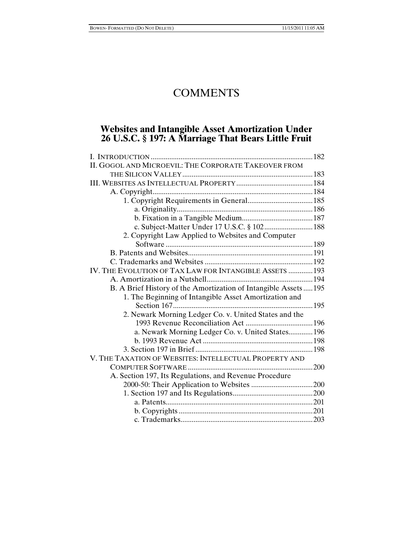# **COMMENTS**

# **Websites and Intangible Asset Amortization Under 26 U.S.C. § 197: A Marriage That Bears Little Fruit**

| II. GOGOL AND MICROEVIL: THE CORPORATE TAKEOVER FROM           |  |
|----------------------------------------------------------------|--|
|                                                                |  |
|                                                                |  |
|                                                                |  |
|                                                                |  |
|                                                                |  |
|                                                                |  |
| c. Subject-Matter Under 17 U.S.C. § 102 188                    |  |
| 2. Copyright Law Applied to Websites and Computer              |  |
|                                                                |  |
|                                                                |  |
|                                                                |  |
| IV. THE EVOLUTION OF TAX LAW FOR INTANGIBLE ASSETS  193        |  |
|                                                                |  |
| B. A Brief History of the Amortization of Intangible Assets195 |  |
| 1. The Beginning of Intangible Asset Amortization and          |  |
|                                                                |  |
| 2. Newark Morning Ledger Co. v. United States and the          |  |
|                                                                |  |
| a. Newark Morning Ledger Co. v. United States 196              |  |
|                                                                |  |
|                                                                |  |
| V. THE TAXATION OF WEBSITES: INTELLECTUAL PROPERTY AND         |  |
| $\ldots \ldots \ldots 200$                                     |  |
| A. Section 197, Its Regulations, and Revenue Procedure         |  |
|                                                                |  |
|                                                                |  |
|                                                                |  |
|                                                                |  |
|                                                                |  |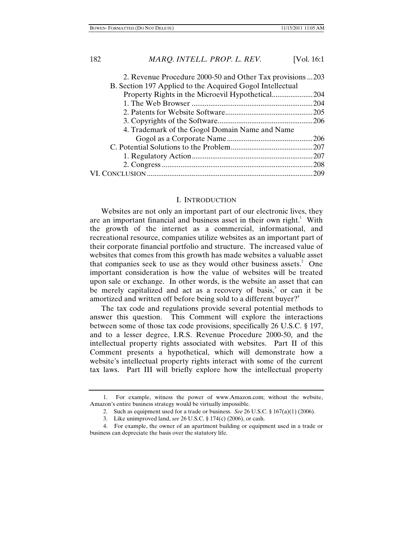| 2. Revenue Procedure 2000-50 and Other Tax provisions 203 |  |
|-----------------------------------------------------------|--|
| B. Section 197 Applied to the Acquired Gogol Intellectual |  |
|                                                           |  |
|                                                           |  |
|                                                           |  |
|                                                           |  |
| 4. Trademark of the Gogol Domain Name and Name            |  |
|                                                           |  |
|                                                           |  |
|                                                           |  |
|                                                           |  |
|                                                           |  |
|                                                           |  |

#### I. INTRODUCTION

Websites are not only an important part of our electronic lives, they are an important financial and business asset in their own right.<sup>1</sup> With the growth of the internet as a commercial, informational, and recreational resource, companies utilize websites as an important part of their corporate financial portfolio and structure. The increased value of websites that comes from this growth has made websites a valuable asset that companies seek to use as they would other business assets. $2$  One important consideration is how the value of websites will be treated upon sale or exchange. In other words, is the website an asset that can be merely capitalized and act as a recovery of basis,<sup>3</sup> or can it be amortized and written off before being sold to a different buyer? $4$ 

The tax code and regulations provide several potential methods to answer this question. This Comment will explore the interactions between some of those tax code provisions, specifically 26 U.S.C. § 197, and to a lesser degree, I.R.S. Revenue Procedure 2000-50, and the intellectual property rights associated with websites. Part II of this Comment presents a hypothetical, which will demonstrate how a website's intellectual property rights interact with some of the current tax laws. Part III will briefly explore how the intellectual property

<sup>1.</sup> For example, witness the power of www.Amazon.com; without the website, Amazon's entire business strategy would be virtually impossible.

<sup>2.</sup> Such as equipment used for a trade or business. *See* 26 U.S.C. § 167(a)(1) (2006).

<sup>3.</sup> Like unimproved land, *see* 26 U.S.C. § 174(c) (2006), or cash.

<sup>4.</sup> For example, the owner of an apartment building or equipment used in a trade or business can depreciate the basis over the statutory life.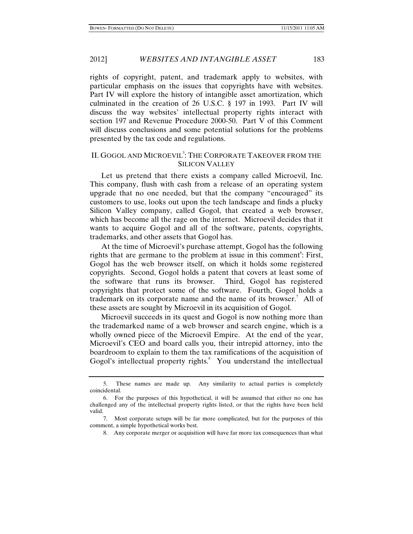rights of copyright, patent, and trademark apply to websites, with particular emphasis on the issues that copyrights have with websites. Part IV will explore the history of intangible asset amortization, which culminated in the creation of 26 U.S.C. § 197 in 1993. Part IV will discuss the way websites' intellectual property rights interact with section 197 and Revenue Procedure 2000-50. Part V of this Comment will discuss conclusions and some potential solutions for the problems presented by the tax code and regulations.

# II. GOGOL AND MICROEVIL<sup>5</sup>: THE CORPORATE TAKEOVER FROM THE SILICON VALLEY

Let us pretend that there exists a company called Microevil, Inc. This company, flush with cash from a release of an operating system upgrade that no one needed, but that the company "encouraged" its customers to use, looks out upon the tech landscape and finds a plucky Silicon Valley company, called Gogol, that created a web browser, which has become all the rage on the internet. Microevil decides that it wants to acquire Gogol and all of the software, patents, copyrights, trademarks, and other assets that Gogol has.

At the time of Microevil's purchase attempt, Gogol has the following rights that are germane to the problem at issue in this comment<sup>6</sup>: First, Gogol has the web browser itself, on which it holds some registered copyrights. Second, Gogol holds a patent that covers at least some of the software that runs its browser. Third, Gogol has registered copyrights that protect some of the software. Fourth, Gogol holds a trademark on its corporate name and the name of its browser.<sup>7</sup> All of these assets are sought by Microevil in its acquisition of Gogol.

Microevil succeeds in its quest and Gogol is now nothing more than the trademarked name of a web browser and search engine, which is a wholly owned piece of the Microevil Empire. At the end of the year, Microevil's CEO and board calls you, their intrepid attorney, into the boardroom to explain to them the tax ramifications of the acquisition of Gogol's intellectual property rights.<sup>8</sup> You understand the intellectual

<sup>5.</sup> These names are made up. Any similarity to actual parties is completely coincidental.

<sup>6.</sup> For the purposes of this hypothetical, it will be assumed that either no one has challenged any of the intellectual property rights listed, or that the rights have been held valid.

<sup>7.</sup> Most corporate setups will be far more complicated, but for the purposes of this comment, a simple hypothetical works best.

<sup>8.</sup> Any corporate merger or acquisition will have far more tax consequences than what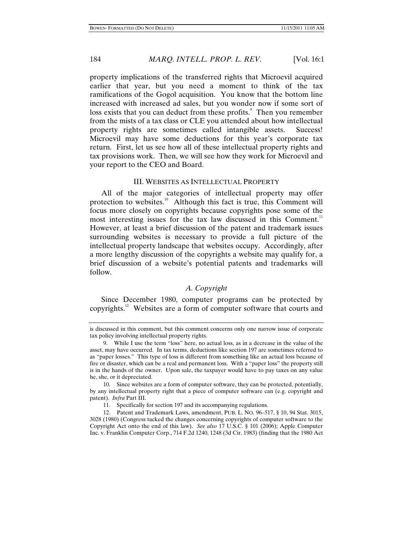property implications of the transferred rights that Microevil acquired earlier that year, but you need a moment to think of the tax ramifications of the Gogol acquisition. You know that the bottom line increased with increased ad sales, but you wonder now if some sort of loss exists that you can deduct from these profits.<sup>9</sup> Then you remember from the mists of a tax class or CLE you attended about how intellectual property rights are sometimes called intangible assets. Success! Microevil may have some deductions for this year's corporate tax return. First, let us see how all of these intellectual property rights and tax provisions work. Then, we will see how they work for Microevil and your report to the CEO and Board.

#### III. WEBSITES AS INTELLECTUAL PROPERTY

All of the major categories of intellectual property may offer protection to websites.<sup>10</sup> Although this fact is true, this Comment will focus more closely on copyrights because copyrights pose some of the most interesting issues for the tax law discussed in this Comment.<sup>11</sup> However, at least a brief discussion of the patent and trademark issues surrounding websites is necessary to provide a full picture of the intellectual property landscape that websites occupy. Accordingly, after a more lengthy discussion of the copyrights a website may qualify for, a brief discussion of a website's potential patents and trademarks will follow.

# *A. Copyright*

Since December 1980, computer programs can be protected by copyrights.12 Websites are a form of computer software that courts and

10. Since websites are a form of computer software, they can be protected, potentially, by any intellectual property right that a piece of computer software can (e.g. copyright and patent). *Infra* Part III.

11. Specifically for section 197 and its accompanying regulations.

12. Patent and Trademark Laws, amendment, PUB. L. NO. 96–517, § 10, 94 Stat. 3015, 3028 (1980) (Congress tacked the changes concerning copyrights of computer software to the Copyright Act onto the end of this law). *See also* 17 U.S.C. § 101 (2006); Apple Computer Inc. v. Franklin Computer Corp., 714 F.2d 1240, 1248 (3d Cir. 1983) (finding that the 1980 Act

is discussed in this comment, but this comment concerns only one narrow issue of corporate tax policy involving intellectual property rights.

<sup>9.</sup> While I use the term "loss" here, no actual loss, as in a decrease in the value of the asset, may have occurred. In tax terms, deductions like section 197 are sometimes referred to as "paper losses." This type of loss is different from something like an actual loss because of fire or disaster, which can be a real and permanent loss. With a "paper loss" the property still is in the hands of the owner. Upon sale, the taxpayer would have to pay taxes on any value he, she, or it depreciated.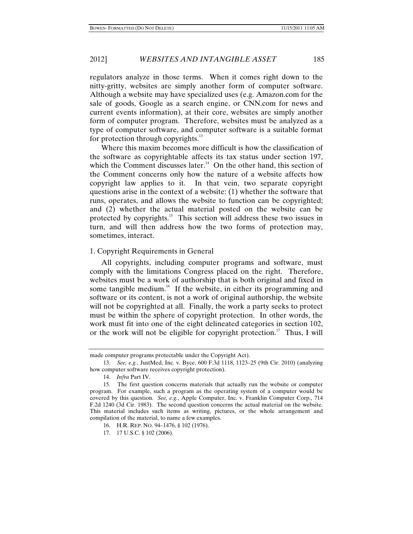regulators analyze in those terms. When it comes right down to the nitty-gritty, websites are simply another form of computer software. Although a website may have specialized uses (e.g. Amazon.com for the sale of goods, Google as a search engine, or CNN.com for news and current events information), at their core, websites are simply another form of computer program. Therefore, websites must be analyzed as a type of computer software, and computer software is a suitable format for protection through copyrights. $^{13}$ 

Where this maxim becomes more difficult is how the classification of the software as copyrightable affects its tax status under section 197, which the Comment discusses later.<sup>14</sup> On the other hand, this section of the Comment concerns only how the nature of a website affects how copyright law applies to it. In that vein, two separate copyright questions arise in the context of a website: (1) whether the software that runs, operates, and allows the website to function can be copyrighted; and (2) whether the actual material posted on the website can be protected by copyrights.<sup>15</sup> This section will address these two issues in turn, and will then address how the two forms of protection may, sometimes, interact.

# 1. Copyright Requirements in General

All copyrights, including computer programs and software, must comply with the limitations Congress placed on the right. Therefore, websites must be a work of authorship that is both original and fixed in some tangible medium.<sup>16</sup> If the website, in either its programming and software or its content, is not a work of original authorship, the website will not be copyrighted at all. Finally, the work a party seeks to protect must be within the sphere of copyright protection. In other words, the work must fit into one of the eight delineated categories in section 102, or the work will not be eligible for copyright protection.<sup>17</sup> Thus, I will

made computer programs protectable under the Copyright Act).

<sup>13.</sup> *See, e.g.*, JustMed, Inc. v. Byce, 600 F.3d 1118, 1123–25 (9th Cir. 2010) (analyzing how computer software receives copyright protection).

<sup>14.</sup> *Infra* Part IV.

<sup>15.</sup> The first question concerns materials that actually run the website or computer program. For example, such a program as the operating system of a computer would be covered by this question. *See, e.g.*, Apple Computer, Inc. v. Franklin Computer Corp., 714 F.2d 1240 (3d Cir. 1983). The second question concerns the actual material on the website. This material includes such items as writing, pictures, or the whole arrangement and compilation of the material, to name a few examples.

<sup>16.</sup> H.R. REP. NO. 94–1476, § 102 (1976).

<sup>17. 17</sup> U.S.C. § 102 (2006).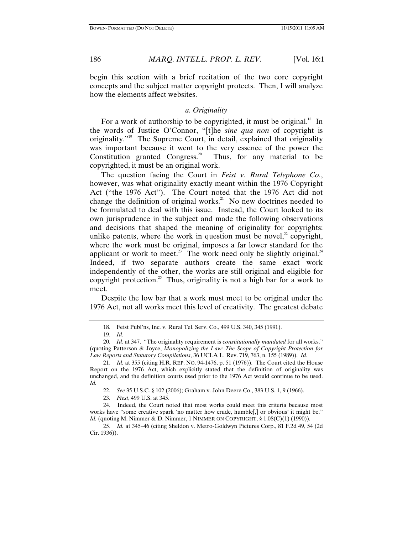begin this section with a brief recitation of the two core copyright concepts and the subject matter copyright protects. Then, I will analyze how the elements affect websites.

# *a. Originality*

For a work of authorship to be copyrighted, it must be original.<sup>18</sup> In the words of Justice O'Connor, "[t]he *sine qua non* of copyright is originality."19 The Supreme Court, in detail, explained that originality was important because it went to the very essence of the power the Constitution granted Congress.<sup>20</sup> Thus, for any material to be copyrighted, it must be an original work.

The question facing the Court in *Feist v. Rural Telephone Co.*, however, was what originality exactly meant within the 1976 Copyright Act ("the 1976 Act"). The Court noted that the 1976 Act did not change the definition of original works.<sup>21</sup> No new doctrines needed to be formulated to deal with this issue. Instead, the Court looked to its own jurisprudence in the subject and made the following observations and decisions that shaped the meaning of originality for copyrights: unlike patents, where the work in question must be novel, $^{2}$  copyright, where the work must be original, imposes a far lower standard for the applicant or work to meet.<sup>23</sup> The work need only be slightly original.<sup>24</sup> Indeed, if two separate authors create the same exact work independently of the other, the works are still original and eligible for copyright protection.<sup>25</sup> Thus, originality is not a high bar for a work to meet.

Despite the low bar that a work must meet to be original under the 1976 Act, not all works meet this level of creativity. The greatest debate

22. *See* 35 U.S.C. § 102 (2006); Graham v. John Deere Co., 383 U.S. 1, 9 (1966).

23. *Fiest*, 499 U.S. at 345.

24. Indeed, the Court noted that most works could meet this criteria because most works have "some creative spark 'no matter how crude, humble[,] or obvious' it might be." *Id.* (quoting M. Nimmer & D. Nimmer, 1 NIMMER ON COPYRIGHT, § 1.08(C)(1) (1990)).

25. *Id.* at 345–46 (citing Sheldon v. Metro-Goldwyn Pictures Corp., 81 F.2d 49, 54 (2d Cir. 1936)).

<sup>18.</sup> Feist Publ'ns, Inc. v. Rural Tel. Serv. Co., 499 U.S. 340, 345 (1991).

<sup>19.</sup> *Id.*

<sup>20.</sup> *Id.* at 347. "The originality requirement is *constitutionally mandated* for all works." (quoting Patterson & Joyce, *Monopolizing the Law: The Scope of Copyright Protection for Law Reports and Statutory Compilations*, 36 UCLA L. Rev. 719, 763, n. 155 (1989)). *Id*.

<sup>21.</sup> *Id.* at 355 (citing H.R. REP. NO. 94-1476, p. 51 (1976)). The Court cited the House Report on the 1976 Act, which explicitly stated that the definition of originality was unchanged, and the definition courts used prior to the 1976 Act would continue to be used. *Id.*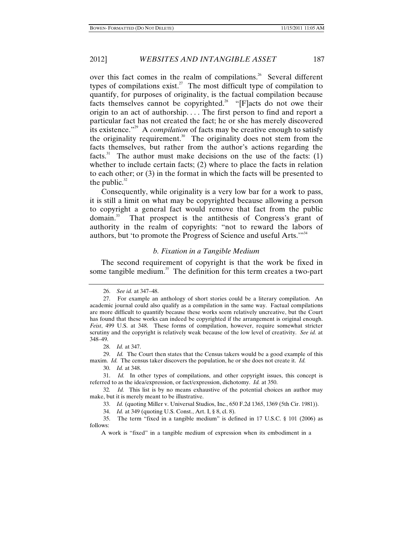over this fact comes in the realm of compilations.<sup>26</sup> Several different types of compilations exist.<sup>27</sup> The most difficult type of compilation to quantify, for purposes of originality, is the factual compilation because facts themselves cannot be copyrighted.<sup>28</sup> "[F]acts do not owe their origin to an act of authorship. . . . The first person to find and report a particular fact has not created the fact; he or she has merely discovered its existence."29 A *compilation* of facts may be creative enough to satisfy the originality requirement.<sup>30</sup> The originality does not stem from the facts themselves, but rather from the author's actions regarding the facts.<sup>31</sup> The author must make decisions on the use of the facts:  $(1)$ whether to include certain facts; (2) where to place the facts in relation to each other; or (3) in the format in which the facts will be presented to the public. $32$ 

Consequently, while originality is a very low bar for a work to pass, it is still a limit on what may be copyrighted because allowing a person to copyright a general fact would remove that fact from the public domain.33 That prospect is the antithesis of Congress's grant of authority in the realm of copyrights: "not to reward the labors of authors, but 'to promote the Progress of Science and useful Arts."<sup>34</sup>

# *b. Fixation in a Tangible Medium*

The second requirement of copyright is that the work be fixed in some tangible medium. $35$  The definition for this term creates a two-part

29. *Id.* The Court then states that the Census takers would be a good example of this maxim. *Id.* The census taker discovers the population, he or she does not create it. *Id.*

30. *Id.* at 348.

31. *Id.* In other types of compilations, and other copyright issues, this concept is referred to as the idea/expression, or fact/expression, dichotomy. *Id.* at 350.

32*. Id.* This list is by no means exhaustive of the potential choices an author may make, but it is merely meant to be illustrative.

33. *Id.* (quoting Miller v. Universal Studios, Inc., 650 F.2d 1365, 1369 (5th Cir. 1981)).

34. *Id.* at 349 (quoting U.S. Const., Art. I, § 8, cl. 8).

35. The term "fixed in a tangible medium" is defined in 17 U.S.C. § 101 (2006) as follows:

A work is "fixed" in a tangible medium of expression when its embodiment in a

<sup>26.</sup> *See id.* at 347–48.

<sup>27.</sup> For example an anthology of short stories could be a literary compilation. An academic journal could also qualify as a compilation in the same way. Factual compilations are more difficult to quantify because these works seem relatively uncreative, but the Court has found that these works can indeed be copyrighted if the arrangement is original enough. *Feist*, 499 U.S. at 348. These forms of compilation, however, require somewhat stricter scrutiny and the copyright is relatively weak because of the low level of creativity. *See id.* at 348–49.

<sup>28.</sup> *Id.* at 347.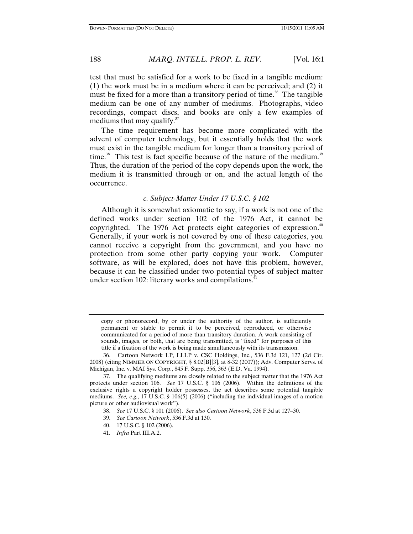test that must be satisfied for a work to be fixed in a tangible medium: (1) the work must be in a medium where it can be perceived; and (2) it must be fixed for a more than a transitory period of time.<sup>36</sup> The tangible medium can be one of any number of mediums. Photographs, video recordings, compact discs, and books are only a few examples of mediums that may qualify. $37$ 

The time requirement has become more complicated with the advent of computer technology, but it essentially holds that the work must exist in the tangible medium for longer than a transitory period of time.<sup>38</sup> This test is fact specific because of the nature of the medium.<sup>39</sup> Thus, the duration of the period of the copy depends upon the work, the medium it is transmitted through or on, and the actual length of the occurrence.

#### *c. Subject-Matter Under 17 U.S.C. § 102*

Although it is somewhat axiomatic to say, if a work is not one of the defined works under section 102 of the 1976 Act, it cannot be copyrighted. The 1976 Act protects eight categories of expression.<sup>40</sup> Generally, if your work is not covered by one of these categories, you cannot receive a copyright from the government, and you have no protection from some other party copying your work. Computer software, as will be explored, does not have this problem, however, because it can be classified under two potential types of subject matter under section 102: literary works and compilations.<sup>41</sup>

copy or phonorecord, by or under the authority of the author, is sufficiently permanent or stable to permit it to be perceived, reproduced, or otherwise communicated for a period of more than transitory duration. A work consisting of sounds, images, or both, that are being transmitted, is "fixed" for purposes of this title if a fixation of the work is being made simultaneously with its transmission.

<sup>36.</sup> Cartoon Network LP, LLLP v. CSC Holdings, Inc., 536 F.3d 121, 127 (2d Cir. 2008) (citing NIMMER ON COPYRIGHT, § 8.02[B][3], at 8-32 (2007)); Adv. Computer Servs. of Michigan, Inc. v. MAI Sys. Corp., 845 F. Supp. 356, 363 (E.D. Va. 1994).

<sup>37.</sup> The qualifying mediums are closely related to the subject matter that the 1976 Act protects under section 106. *See* 17 U.S.C. § 106 (2006). Within the definitions of the exclusive rights a copyright holder possesses, the act describes some potential tangible mediums. *See, e.g.*, 17 U.S.C. § 106(5) (2006) ("including the individual images of a motion picture or other audiovisual work").

<sup>38.</sup> *See* 17 U.S.C. § 101 (2006). *See also Cartoon Network*, 536 F.3d at 127–30.

<sup>39.</sup> *See Cartoon Network*, 536 F.3d at 130.

<sup>40. 17</sup> U.S.C. § 102 (2006).

<sup>41.</sup> *Infra* Part III.A.2.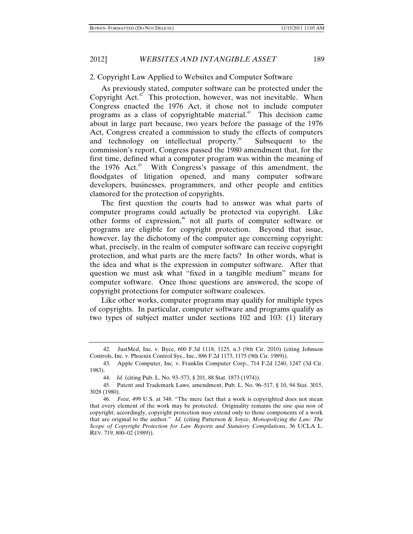2012] *WEBSITES AND INTANGIBLE ASSET* 189

#### 2. Copyright Law Applied to Websites and Computer Software

As previously stated, computer software can be protected under the Copyright Act.<sup>42</sup> This protection, however, was not inevitable. When Congress enacted the 1976 Act, it chose not to include computer programs as a class of copyrightable material.<sup>43</sup> This decision came about in large part because, two years before the passage of the 1976 Act, Congress created a commission to study the effects of computers and technology on intellectual property.<sup>44</sup> Subsequent to the commission's report, Congress passed the 1980 amendment that, for the first time, defined what a computer program was within the meaning of the 1976 Act.<sup>45</sup> With Congress's passage of this amendment, the floodgates of litigation opened, and many computer software developers, businesses, programmers, and other people and entities clamored for the protection of copyrights.

The first question the courts had to answer was what parts of computer programs could actually be protected via copyright. Like other forms of expression,<sup>46</sup> not all parts of computer software or programs are eligible for copyright protection. Beyond that issue, however, lay the dichotomy of the computer age concerning copyright: what, precisely, in the realm of computer software can receive copyright protection, and what parts are the mere facts? In other words, what is the idea and what is the expression in computer software. After that question we must ask what "fixed in a tangible medium" means for computer software. Once those questions are answered, the scope of copyright protections for computer software coalesces.

Like other works, computer programs may qualify for multiple types of copyrights. In particular, computer software and programs qualify as two types of subject matter under sections 102 and 103: (1) literary

<sup>42.</sup> JustMed, Inc. v. Byce, 600 F.3d 1118, 1125, n.3 (9th Cir. 2010) (citing Johnson Controls, Inc. v. Phoenix Control Sys., Inc., 886 F.2d 1173, 1175 (9th Cir. 1989)).

<sup>43.</sup> Apple Computer, Inc. v. Franklin Computer Corp., 714 F.2d 1240, 1247 (3d Cir. 1983).

<sup>44.</sup> *Id.* (citing Pub. L. No. 93–573, § 201, 88 Stat. 1873 (1974)).

<sup>45.</sup> Patent and Trademark Laws, amendment, Pub. L. No. 96–517, § 10, 94 Stat. 3015, 3028 (1980).

<sup>46.</sup> *Feist*, 499 U.S. at 348. "The mere fact that a work is copyrighted does not mean that every element of the work may be protected. Originality remains the *sine qua non* of copyright; accordingly, copyright protection may extend only to those components of a work that are original to the author." *Id.* (citing Patterson & Joyce, *Monopolizing the Law: The Scope of Copyright Protection for Law Reports and Statutory Compilations*, 36 UCLA L. REV. 719, 800–02 (1989)).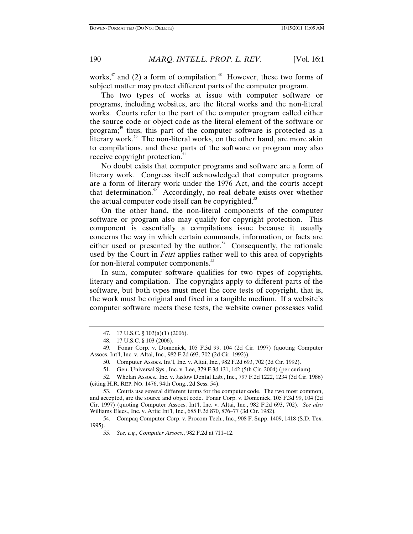works, $47$  and (2) a form of compilation. $48$  However, these two forms of subject matter may protect different parts of the computer program.

The two types of works at issue with computer software or programs, including websites, are the literal works and the non-literal works. Courts refer to the part of the computer program called either the source code or object code as the literal element of the software or program;<sup>49</sup> thus, this part of the computer software is protected as a literary work.<sup>50</sup> The non-literal works, on the other hand, are more akin to compilations, and these parts of the software or program may also receive copyright protection.<sup>51</sup>

No doubt exists that computer programs and software are a form of literary work. Congress itself acknowledged that computer programs are a form of literary work under the 1976 Act, and the courts accept that determination. $52$  Accordingly, no real debate exists over whether the actual computer code itself can be copyrighted. $53$ 

On the other hand, the non-literal components of the computer software or program also may qualify for copyright protection. This component is essentially a compilations issue because it usually concerns the way in which certain commands, information, or facts are either used or presented by the author.<sup>54</sup> Consequently, the rationale used by the Court in *Feist* applies rather well to this area of copyrights for non-literal computer components.<sup>55</sup>

In sum, computer software qualifies for two types of copyrights, literary and compilation. The copyrights apply to different parts of the software, but both types must meet the core tests of copyright, that is, the work must be original and fixed in a tangible medium. If a website's computer software meets these tests, the website owner possesses valid

52. Whelan Assocs., Inc. v. Jaslow Dental Lab., Inc., 797 F.2d 1222, 1234 (3d Cir. 1986) (citing H.R. REP. NO. 1476, 94th Cong., 2d Sess. 54).

53. Courts use several different terms for the computer code. The two most common, and accepted, are the source and object code. Fonar Corp. v. Domenick, 105 F.3d 99, 104 (2d Cir. 1997) (quoting Computer Assocs. Int'l, Inc. v. Altai, Inc., 982 F.2d 693, 702). *See also* Williams Elecs., Inc. v. Artic Int'l, Inc., 685 F.2d 870, 876–77 (3d Cir. 1982).

54. Compaq Computer Corp. v. Procom Tech., Inc., 908 F. Supp. 1409, 1418 (S.D. Tex. 1995).

55. *See, e.g.*, *Computer Assocs.*, 982 F.2d at 711–12.

<sup>47. 17</sup> U.S.C. § 102(a)(1) (2006).

<sup>48. 17</sup> U.S.C. § 103 (2006).

<sup>49.</sup> Fonar Corp. v. Domenick, 105 F.3d 99, 104 (2d Cir. 1997) (quoting Computer Assocs. Int'l, Inc. v. Altai, Inc., 982 F.2d 693, 702 (2d Cir. 1992)).

<sup>50.</sup> Computer Assocs. Int'l, Inc. v. Altai, Inc., 982 F.2d 693, 702 (2d Cir. 1992).

<sup>51.</sup> Gen. Universal Sys., Inc. v. Lee, 379 F.3d 131, 142 (5th Cir. 2004) (per curiam).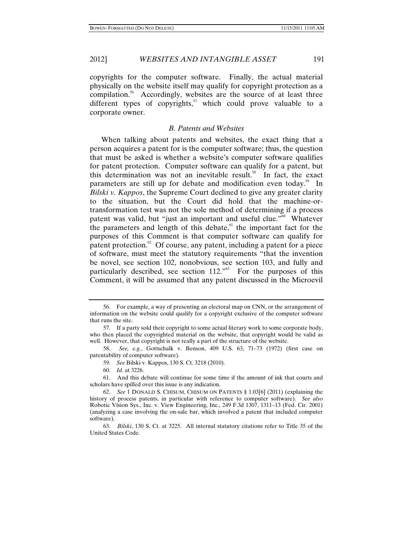2012] *WEBSITES AND INTANGIBLE ASSET* 191

copyrights for the computer software. Finally, the actual material physically on the website itself may qualify for copyright protection as a compilation.<sup>56</sup> Accordingly, websites are the source of at least three different types of copyrights, $5\frac{1}{2}$  which could prove valuable to a corporate owner.

# *B. Patents and Websites*

When talking about patents and websites, the exact thing that a person acquires a patent for is the computer software; thus, the question that must be asked is whether a website's computer software qualifies for patent protection. Computer software can qualify for a patent, but this determination was not an inevitable result.<sup>58</sup> In fact, the exact parameters are still up for debate and modification even today.<sup>59</sup> In *Bilski v. Kappos*, the Supreme Court declined to give any greater clarity to the situation, but the Court did hold that the machine-ortransformation test was not the sole method of determining if a process patent was valid, but "just an important and useful clue."<sup>60</sup> Whatever the parameters and length of this debate, $61$  the important fact for the purposes of this Comment is that computer software can qualify for patent protection.<sup>62</sup> Of course, any patent, including a patent for a piece of software, must meet the statutory requirements "that the invention be novel, see section 102, nonobvious, see section 103, and fully and particularly described, see section  $112.^{0.03}$  For the purposes of this Comment, it will be assumed that any patent discussed in the Microevil

61. And this debate will continue for some time if the amount of ink that courts and scholars have spilled over this issue is any indication.

<sup>56.</sup> For example, a way of presenting an electoral map on CNN, or the arrangement of information on the website could qualify for a copyright exclusive of the computer software that runs the site.

<sup>57.</sup> If a party sold their copyright to some actual literary work to some corporate body, who then placed the copyrighted material on the website, that copyright would be valid as well. However, that copyright is not really a part of the structure of the website.

<sup>58.</sup> *See, e.g.*, Gottschalk v. Benson, 409 U.S. 63, 71–73 (1972) (first case on patentability of computer software).

<sup>59.</sup> *See* Bilski v. Kappos, 130 S. Ct. 3218 (2010).

<sup>60.</sup> *Id.* at 3226.

<sup>62.</sup> *See* 1 DONALD S. CHISUM, CHISUM ON PATENTS § 1.03[6] (2011) (explaining the history of process patents, in particular with reference to computer software). *See also*  Robotic Vision Sys., Inc. v. View Engineering, Inc., 249 F.3d 1307, 1311–13 (Fed. Cir. 2001) (analyzing a case involving the on-sale bar, which involved a patent that included computer software).

<sup>63.</sup> *Bilski*, 130 S. Ct. at 3225. All internal statutory citations refer to Title 35 of the United States Code.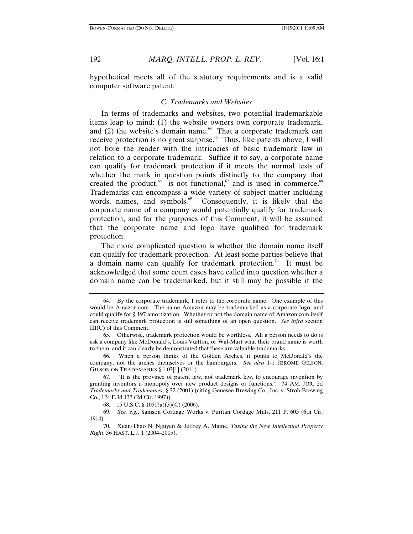hypothetical meets all of the statutory requirements and is a valid computer software patent.

#### *C. Trademarks and Websites*

In terms of trademarks and websites, two potential trademarkable items leap to mind: (1) the website owners own corporate trademark, and  $(2)$  the website's domain name.<sup>64</sup> That a corporate trademark can receive protection is no great surprise.<sup>65</sup> Thus, like patents above, I will not bore the reader with the intricacies of basic trademark law in relation to a corporate trademark. Suffice it to say, a corporate name can qualify for trademark protection if it meets the normal tests of whether the mark in question points distinctly to the company that created the product, <sup>66</sup> is not functional,  $\sigma$  and is used in commerce.<sup>68</sup> Trademarks can encompass a wide variety of subject matter including words, names, and symbols.<sup>69</sup> Consequently, it is likely that the corporate name of a company would potentially qualify for trademark protection, and for the purposes of this Comment, it will be assumed that the corporate name and logo have qualified for trademark protection.

The more complicated question is whether the domain name itself can qualify for trademark protection. At least some parties believe that a domain name can qualify for trademark protection.<sup>70</sup> It must be acknowledged that some court cases have called into question whether a domain name can be trademarked, but it still may be possible if the

66. When a person thinks of the Golden Arches, it points to McDonald's the company, not the arches themselves or the hamburgers. *See also* 1-1 JEROME GILSON, GILSON ON TRADEMARKS § 1.03[1] (2011).

<sup>64.</sup> By the corporate trademark, I refer to the corporate name. One example of this would be Amazon.com. The name Amazon may be trademarked as a corporate logo, and could qualify for § 197 amortization. Whether or not the domain name of Amazon.com itself can receive trademark protection is still something of an open question. *See infra* section III(C) of this Comment.

<sup>65.</sup> Otherwise, trademark protection would be worthless. All a person needs to do is ask a company like McDonald's, Louis Vuitton, or Wal-Mart what their brand name is worth to them, and it can clearly be demonstrated that these are valuable trademarks.

<sup>67. &</sup>quot;It is the province of patent law, not trademark law, to encourage invention by granting inventors a monopoly over new product designs or functions." 74 AM. JUR. 2d *Trademarks and Tradenames*, § 32 (2001) (citing Genesee Brewing Co., Inc. v. Stroh Brewing Co., 124 F.3d 137 (2d Cir. 1997)).

<sup>68. 15</sup> U.S.C. § 1051(a)(3)(C) (2006).

<sup>69.</sup> *See, e.g.*, Samson Cordage Works v. Puritan Cordage Mills, 211 F. 603 (6th Cir. 1914).

<sup>70.</sup> Xuan-Thao N. Nguyen & Jeffrey A. Maine, *Taxing the New Intellectual Property Right*, 56 HAST. L.J. 1 (2004–2005).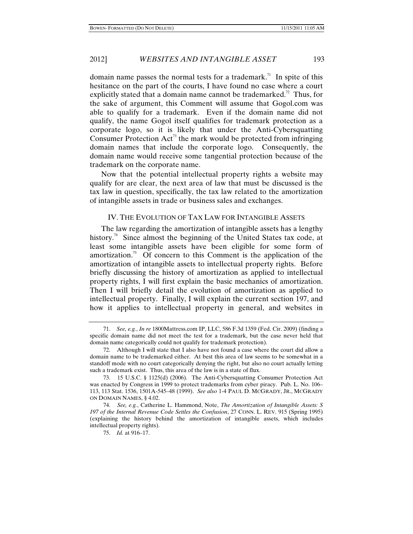domain name passes the normal tests for a trademark.<sup>71</sup> In spite of this hesitance on the part of the courts, I have found no case where a court explicitly stated that a domain name cannot be trademarked.<sup>72</sup> Thus, for the sake of argument, this Comment will assume that Gogol.com was able to qualify for a trademark. Even if the domain name did not qualify, the name Gogol itself qualifies for trademark protection as a corporate logo, so it is likely that under the Anti-Cybersquatting Consumer Protection  $Act^{3}$  the mark would be protected from infringing domain names that include the corporate logo. Consequently, the domain name would receive some tangential protection because of the trademark on the corporate name.

Now that the potential intellectual property rights a website may qualify for are clear, the next area of law that must be discussed is the tax law in question, specifically, the tax law related to the amortization of intangible assets in trade or business sales and exchanges.

# IV. THE EVOLUTION OF TAX LAW FOR INTANGIBLE ASSETS

The law regarding the amortization of intangible assets has a lengthy history.<sup>74</sup> Since almost the beginning of the United States tax code, at least some intangible assets have been eligible for some form of amortization.<sup>75</sup> Of concern to this Comment is the application of the amortization of intangible assets to intellectual property rights. Before briefly discussing the history of amortization as applied to intellectual property rights, I will first explain the basic mechanics of amortization. Then I will briefly detail the evolution of amortization as applied to intellectual property. Finally, I will explain the current section 197, and how it applies to intellectual property in general, and websites in

75. *Id.* at 916–17.

<sup>71.</sup> *See, e.g.*, *In re* 1800Mattress.com IP, LLC, 586 F.3d 1359 (Fed. Cir. 2009) (finding a specific domain name did not meet the test for a trademark, but the case never held that domain name categorically could not qualify for trademark protection).

<sup>72.</sup> Although I will state that I also have not found a case where the court did allow a domain name to be trademarked either. At best this area of law seems to be somewhat in a standoff mode with no court categorically denying the right, but also no court actually letting such a trademark exist. Thus, this area of the law is in a state of flux.

<sup>73. 15</sup> U.S.C. § 1125(d) (2006). The Anti-Cybersquatting Consumer Protection Act was enacted by Congress in 1999 to protect trademarks from cyber piracy. Pub. L. No. 106– 113, 113 Stat. 1536, 1501A-545–48 (1999). *See also* 1-4 PAUL D. MCGRADY, JR., MCGRADY ON DOMAIN NAMES, § 4.02.

<sup>74.</sup> *See, e.g.*, Catherine L. Hammond, Note, *The Amortization of Intangible Assets: S 197 of the Internal Revenue Code Settles the Confusion*, 27 CONN. L. REV. 915 (Spring 1995) (explaining the history behind the amortization of intangible assets, which includes intellectual property rights).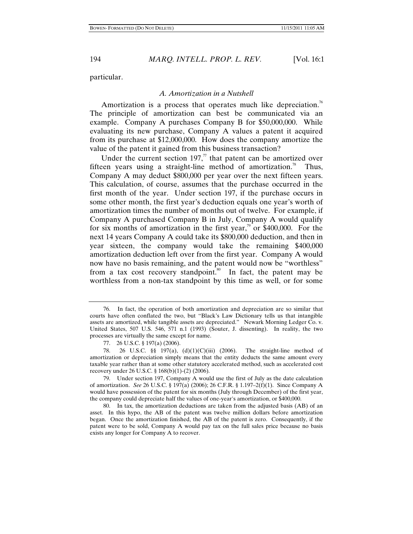particular.

#### *A. Amortization in a Nutshell*

Amortization is a process that operates much like depreciation.<sup>76</sup> The principle of amortization can best be communicated via an example. Company A purchases Company B for \$50,000,000. While evaluating its new purchase, Company A values a patent it acquired from its purchase at \$12,000,000. How does the company amortize the value of the patent it gained from this business transaction?

Under the current section 197, $\pi$  that patent can be amortized over fifteen years using a straight-line method of amortization.<sup>78</sup> Thus, Company A may deduct \$800,000 per year over the next fifteen years. This calculation, of course, assumes that the purchase occurred in the first month of the year. Under section 197, if the purchase occurs in some other month, the first year's deduction equals one year's worth of amortization times the number of months out of twelve. For example, if Company A purchased Company B in July, Company A would qualify for six months of amortization in the first year,<sup>79</sup> or \$400,000. For the next 14 years Company A could take its \$800,000 deduction, and then in year sixteen, the company would take the remaining \$400,000 amortization deduction left over from the first year. Company A would now have no basis remaining, and the patent would now be "worthless" from a tax cost recovery standpoint.<sup>80</sup> In fact, the patent may be worthless from a non-tax standpoint by this time as well, or for some

<sup>76.</sup> In fact, the operation of both amortization and depreciation are so similar that courts have often conflated the two, but "Black's Law Dictionary tells us that intangible assets are amortized, while tangible assets are depreciated." Newark Morning Ledger Co. v. United States, 507 U.S. 546, 571 n.1 (1993) (Souter, J. dissenting). In reality, the two processes are virtually the same except for name.

<sup>77. 26</sup> U.S.C. § 197(a) (2006).

<sup>78. 26</sup> U.S.C. §§ 197(a), (d)(1)(C)(iii) (2006). The straight-line method of amortization or depreciation simply means that the entity deducts the same amount every taxable year rather than at some other statutory accelerated method, such as accelerated cost recovery under 26 U.S.C. § 168(b)(1)-(2) (2006).

<sup>79.</sup> Under section 197, Company A would use the first of July as the date calculation of amortization. *See* 26 U.S.C. § 197(a) (2006); 26 C.F.R. § 1.197–2(f)(1). Since Company A would have possession of the patent for six months (July through December) of the first year, the company could depreciate half the values of one-year's amortization, or \$400,000.

<sup>80.</sup> In tax, the amortization deductions are taken from the adjusted basis (AB) of an asset. In this hypo, the AB of the patent was twelve million dollars before amortization began. Once the amortization finished, the AB of the patent is zero. Consequently, if the patent were to be sold, Company A would pay tax on the full sales price because no basis exists any longer for Company A to recover.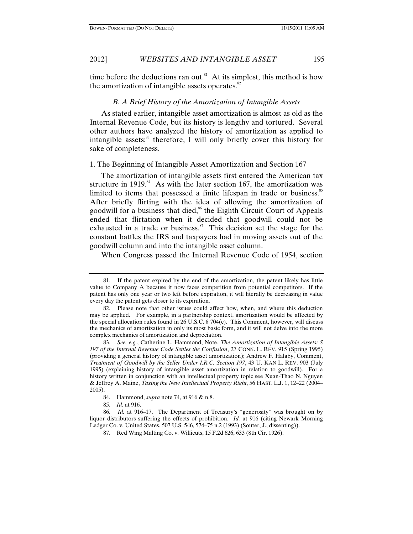time before the deductions ran out.<sup>81</sup> At its simplest, this method is how the amortization of intangible assets operates. $82$ 

#### *B. A Brief History of the Amortization of Intangible Assets*

As stated earlier, intangible asset amortization is almost as old as the Internal Revenue Code, but its history is lengthy and tortured. Several other authors have analyzed the history of amortization as applied to intangible assets; $\delta$ <sup>83</sup> therefore, I will only briefly cover this history for sake of completeness.

# 1. The Beginning of Intangible Asset Amortization and Section 167

The amortization of intangible assets first entered the American tax structure in 1919.<sup>84</sup> As with the later section 167, the amortization was limited to items that possessed a finite lifespan in trade or business.<sup>85</sup> After briefly flirting with the idea of allowing the amortization of goodwill for a business that died,<sup>86</sup> the Eighth Circuit Court of Appeals ended that flirtation when it decided that goodwill could not be exhausted in a trade or business. $87$  This decision set the stage for the constant battles the IRS and taxpayers had in moving assets out of the goodwill column and into the intangible asset column.

When Congress passed the Internal Revenue Code of 1954, section

85. *Id.* at 916.

86. *Id.* at 916–17. The Department of Treasury's "generosity" was brought on by liquor distributors suffering the effects of prohibition. *Id.* at 916 (citing Newark Morning Ledger Co. v. United States, 507 U.S. 546, 574–75 n.2 (1993) (Souter, J., dissenting)).

87. Red Wing Malting Co. v. Willicuts, 15 F.2d 626, 633 (8th Cir. 1926).

<sup>81.</sup> If the patent expired by the end of the amortization, the patent likely has little value to Company A because it now faces competition from potential competitors. If the patent has only one year or two left before expiration, it will literally be decreasing in value every day the patent gets closer to its expiration.

<sup>82.</sup> Please note that other issues could affect how, when, and where this deduction may be applied. For example, in a partnership context, amortization would be affected by the special allocation rules found in 26 U.S.C. § 704(c). This Comment, however, will discuss the mechanics of amortization in only its most basic form, and it will not delve into the more complex mechanics of amortization and depreciation.

<sup>83.</sup> *See, e.g.*, Catherine L. Hammond, Note, *The Amortization of Intangible Assets: S 197 of the Internal Revenue Code Settles the Confusion*, 27 CONN. L. REV. 915 (Spring 1995) (providing a general history of intangible asset amortization); Andrew F. Halaby, Comment, *Treatment of Goodwill by the Seller Under I.R.C. Section 197*, 43 U. KAN L. REV. 903 (July 1995) (explaining history of intangible asset amortization in relation to goodwill). For a history written in conjunction with an intellectual property topic see Xuan-Thao N. Nguyen & Jeffrey A. Maine, *Taxing the New Intellectual Property Right*, 56 HAST. L.J. 1, 12–22 (2004– 2005).

<sup>84.</sup> Hammond, *supra* note 74, at 916 & n.8.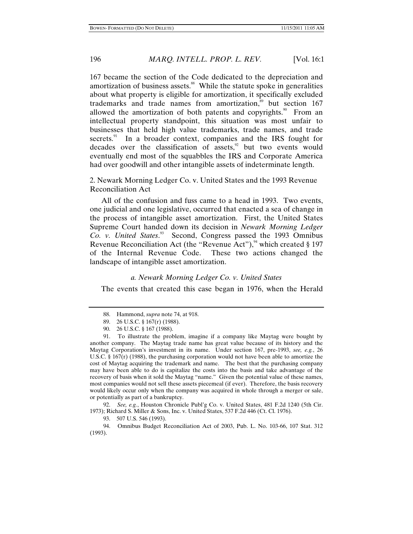167 became the section of the Code dedicated to the depreciation and amortization of business assets. $88$  While the statute spoke in generalities about what property is eligible for amortization, it specifically excluded trademarks and trade names from amortization, $\frac{89}{167}$  but section 167 allowed the amortization of both patents and copyrights.<sup>90</sup> From an intellectual property standpoint, this situation was most unfair to businesses that held high value trademarks, trade names, and trade secrets. $91$  In a broader context, companies and the IRS fought for decades over the classification of assets, $92$  but two events would eventually end most of the squabbles the IRS and Corporate America had over goodwill and other intangible assets of indeterminate length.

2. Newark Morning Ledger Co. v. United States and the 1993 Revenue Reconciliation Act

All of the confusion and fuss came to a head in 1993. Two events, one judicial and one legislative, occurred that enacted a sea of change in the process of intangible asset amortization. First, the United States Supreme Court handed down its decision in *Newark Morning Ledger*  Co. v. United States.<sup>33</sup> Second, Congress passed the 1993 Omnibus Revenue Reconciliation Act (the "Revenue Act"),  $94$  which created § 197 of the Internal Revenue Code. These two actions changed the landscape of intangible asset amortization.

#### *a. Newark Morning Ledger Co. v. United States*

The events that created this case began in 1976, when the Herald

92. *See, e.g.*, Houston Chronicle Publ'g Co. v. United States, 481 F.2d 1240 (5th Cir. 1973); Richard S. Miller & Sons, Inc. v. United States, 537 F.2d 446 (Ct. Cl. 1976).

94. Omnibus Budget Reconciliation Act of 2003, Pub. L. No. 103-66, 107 Stat. 312 (1993).

<sup>88.</sup> Hammond, *supra* note 74, at 918.

<sup>89. 26</sup> U.S.C. § 167(r) (1988).

<sup>90. 26</sup> U.S.C. § 167 (1988).

<sup>91.</sup> To illustrate the problem, imagine if a company like Maytag were bought by another company. The Maytag trade name has great value because of its history and the Maytag Corporation's investment in its name. Under section 167, pre-1993, *see, e.g.*, 26 U.S.C.  $\S 167(r)$  (1988), the purchasing corporation would not have been able to amortize the cost of Maytag acquiring the trademark and name. The best that the purchasing company may have been able to do is capitalize the costs into the basis and take advantage of the recovery of basis when it sold the Maytag "name." Given the potential value of these names, most companies would not sell these assets piecemeal (if ever). Therefore, the basis recovery would likely occur only when the company was acquired in whole through a merger or sale, or potentially as part of a bankruptcy.

<sup>93. 507</sup> U.S. 546 (1993).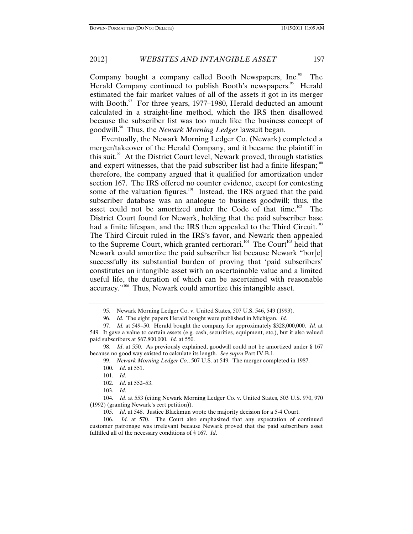Company bought a company called Booth Newspapers,  $Inc$ <sup>55</sup> The Herald Company continued to publish Booth's newspapers.<sup>96</sup> Herald estimated the fair market values of all of the assets it got in its merger with Booth. $\frac{97}{10}$  For three years, 1977–1980, Herald deducted an amount calculated in a straight-line method, which the IRS then disallowed because the subscriber list was too much like the business concept of goodwill.98 Thus, the *Newark Morning Ledger* lawsuit began.

Eventually, the Newark Morning Ledger Co. (Newark) completed a merger/takeover of the Herald Company, and it became the plaintiff in this suit.<sup>99</sup> At the District Court level, Newark proved, through statistics and expert witnesses, that the paid subscriber list had a finite lifespan; $100$ therefore, the company argued that it qualified for amortization under section 167. The IRS offered no counter evidence, except for contesting some of the valuation figures.<sup>101</sup> Instead, the IRS argued that the paid subscriber database was an analogue to business goodwill; thus, the asset could not be amortized under the Code of that time.<sup>102</sup> The District Court found for Newark, holding that the paid subscriber base had a finite lifespan, and the IRS then appealed to the Third Circuit.<sup>103</sup> The Third Circuit ruled in the IRS's favor, and Newark then appealed to the Supreme Court, which granted certiorari.<sup>104</sup> The Court<sup>105</sup> held that Newark could amortize the paid subscriber list because Newark "bor[e] successfully its substantial burden of proving that 'paid subscribers' constitutes an intangible asset with an ascertainable value and a limited useful life, the duration of which can be ascertained with reasonable accuracy."106 Thus, Newark could amortize this intangible asset.

<sup>95.</sup> Newark Morning Ledger Co. v. United States, 507 U.S. 546, 549 (1993).

<sup>96.</sup> *Id.* The eight papers Herald bought were published in Michigan. *Id.*

<sup>97.</sup> *Id.* at 549–50. Herald bought the company for approximately \$328,000,000. *Id.* at 549. It gave a value to certain assets (e.g. cash, securities, equipment, etc.), but it also valued paid subscribers at \$67,800,000. *Id.* at 550.

<sup>98.</sup> *Id*. at 550. As previously explained, goodwill could not be amortized under § 167 because no good way existed to calculate its length. *See supra* Part IV.B.1.

<sup>99.</sup> *Newark Morning Ledger Co*., 507 U.S. at 549. The merger completed in 1987.

<sup>100.</sup> *Id*. at 551.

<sup>101.</sup> *Id*.

<sup>102.</sup> *Id*. at 552–53.

<sup>103.</sup> *Id*.

<sup>104.</sup> *Id*. at 553 (citing Newark Morning Ledger Co. v. United States, 503 U.S. 970, 970 (1992) (granting Newark's cert petition)).

<sup>105.</sup> *Id*. at 548. Justice Blackmun wrote the majority decision for a 5-4 Court.

<sup>106.</sup> *Id.* at 570. The Court also emphasized that any expectation of continued customer patronage was irrelevant because Newark proved that the paid subscribers asset fulfilled all of the necessary conditions of § 167. *Id*.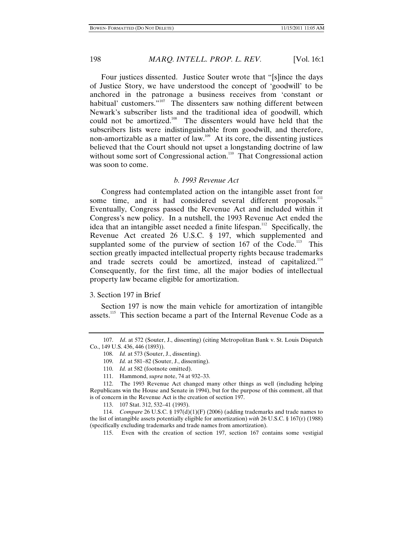Four justices dissented. Justice Souter wrote that "[s]ince the days of Justice Story, we have understood the concept of 'goodwill' to be anchored in the patronage a business receives from 'constant or habitual' customers."<sup>107</sup> The dissenters saw nothing different between Newark's subscriber lists and the traditional idea of goodwill, which could not be amortized.<sup>108</sup> The dissenters would have held that the subscribers lists were indistinguishable from goodwill, and therefore, non-amortizable as a matter of law.<sup>109</sup> At its core, the dissenting justices believed that the Court should not upset a longstanding doctrine of law without some sort of Congressional action.<sup>110</sup> That Congressional action was soon to come.

# *b. 1993 Revenue Act*

Congress had contemplated action on the intangible asset front for some time, and it had considered several different proposals.<sup>111</sup> Eventually, Congress passed the Revenue Act and included within it Congress's new policy. In a nutshell, the 1993 Revenue Act ended the idea that an intangible asset needed a finite lifespan.<sup>112</sup> Specifically, the Revenue Act created 26 U.S.C. § 197, which supplemented and supplanted some of the purview of section  $167$  of the Code.<sup>113</sup> This section greatly impacted intellectual property rights because trademarks and trade secrets could be amortized, instead of capitalized.<sup>114</sup> Consequently, for the first time, all the major bodies of intellectual property law became eligible for amortization.

# 3. Section 197 in Brief

Section 197 is now the main vehicle for amortization of intangible assets.<sup>115</sup> This section became a part of the Internal Revenue Code as a

112. The 1993 Revenue Act changed many other things as well (including helping Republicans win the House and Senate in 1994), but for the purpose of this comment, all that is of concern in the Revenue Act is the creation of section 197.

113. 107 Stat. 312, 532–41 (1993).

114. *Compare* 26 U.S.C. § 197(d)(1)(F) (2006) (adding trademarks and trade names to the list of intangible assets potentially eligible for amortization) *with* 26 U.S.C. § 167(r) (1988) (specifically excluding trademarks and trade names from amortization).

115. Even with the creation of section 197, section 167 contains some vestigial

<sup>107.</sup> *Id*. at 572 (Souter, J., dissenting) (citing Metropolitan Bank v. St. Louis Dispatch Co., 149 U.S. 436, 446 (1893)).

<sup>108.</sup> *Id.* at 573 (Souter, J., dissenting).

<sup>109.</sup> *Id.* at 581–82 (Souter, J., dissenting).

<sup>110.</sup> *Id.* at 582 (footnote omitted).

<sup>111.</sup> Hammond, *supra* note, 74 at 932–33.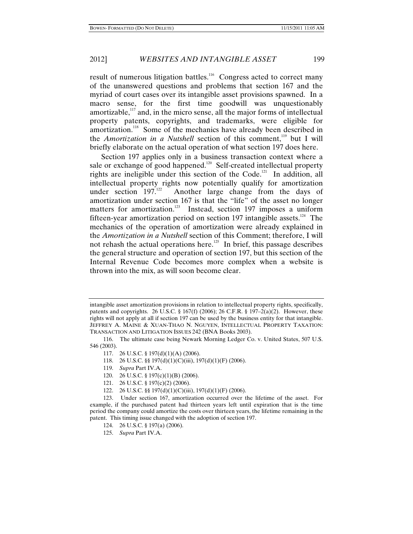result of numerous litigation battles.<sup>116</sup> Congress acted to correct many of the unanswered questions and problems that section 167 and the myriad of court cases over its intangible asset provisions spawned. In a macro sense, for the first time goodwill was unquestionably amortizable, $117$  and, in the micro sense, all the major forms of intellectual property patents, copyrights, and trademarks, were eligible for amortization.<sup>118</sup> Some of the mechanics have already been described in the *Amortization in a Nutshell* section of this comment,<sup>119</sup> but I will briefly elaborate on the actual operation of what section 197 does here.

Section 197 applies only in a business transaction context where a sale or exchange of good happened.<sup>120</sup> Self-created intellectual property rights are ineligible under this section of the Code.<sup>121</sup> In addition, all intellectual property rights now potentially qualify for amortization under section  $197.^{122}$  Another large change from the days of amortization under section 167 is that the "life" of the asset no longer matters for amortization.<sup>123</sup> Instead, section 197 imposes a uniform fifteen-year amortization period on section 197 intangible assets.<sup>124</sup> The mechanics of the operation of amortization were already explained in the *Amortization in a Nutshell* section of this Comment; therefore, I will not rehash the actual operations here.<sup>125</sup> In brief, this passage describes the general structure and operation of section 197, but this section of the Internal Revenue Code becomes more complex when a website is thrown into the mix, as will soon become clear.

- 117. 26 U.S.C. § 197(d)(1)(A) (2006).
- 118. 26 U.S.C. §§ 197(d)(1)(C)(iii), 197(d)(1)(F) (2006).
- 119. *Supra* Part IV.A.
- 120. 26 U.S.C. § 197(c)(1)(B) (2006).
- 121. 26 U.S.C. § 197(c)(2) (2006).
- 122. 26 U.S.C. §§ 197(d)(1)(C)(iii), 197(d)(1)(F) (2006).

123. Under section 167, amortization occurred over the lifetime of the asset. For example, if the purchased patent had thirteen years left until expiration that is the time period the company could amortize the costs over thirteen years, the lifetime remaining in the patent. This timing issue changed with the adoption of section 197.

intangible asset amortization provisions in relation to intellectual property rights, specifically, patents and copyrights. 26 U.S.C. § 167(f) (2006); 26 C.F.R. § 197-2(a)(2). However, these rights will not apply at all if section 197 can be used by the business entity for that intangible. JEFFREY A. MAINE & XUAN-THAO N. NGUYEN, INTELLECTUAL PROPERTY TAXATION: TRANSACTION AND LITIGATION ISSUES 242 (BNA Books 2003).

<sup>116.</sup> The ultimate case being Newark Morning Ledger Co. v. United States, 507 U.S. 546 (2003).

<sup>124. 26</sup> U.S.C. § 197(a) (2006).

<sup>125.</sup> *Supra* Part IV.A.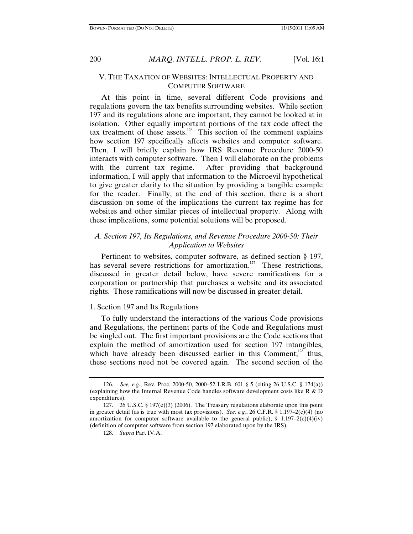# V. THE TAXATION OF WEBSITES: INTELLECTUAL PROPERTY AND COMPUTER SOFTWARE

At this point in time, several different Code provisions and regulations govern the tax benefits surrounding websites. While section 197 and its regulations alone are important, they cannot be looked at in isolation. Other equally important portions of the tax code affect the tax treatment of these assets.<sup>126</sup> This section of the comment explains how section 197 specifically affects websites and computer software. Then, I will briefly explain how IRS Revenue Procedure 2000-50 interacts with computer software. Then I will elaborate on the problems with the current tax regime. After providing that background information, I will apply that information to the Microevil hypothetical to give greater clarity to the situation by providing a tangible example for the reader. Finally, at the end of this section, there is a short discussion on some of the implications the current tax regime has for websites and other similar pieces of intellectual property. Along with these implications, some potential solutions will be proposed.

# *A. Section 197, Its Regulations, and Revenue Procedure 2000-50: Their Application to Websites*

Pertinent to websites, computer software, as defined section § 197, has several severe restrictions for amortization.<sup>127</sup> These restrictions, discussed in greater detail below, have severe ramifications for a corporation or partnership that purchases a website and its associated rights. Those ramifications will now be discussed in greater detail.

# 1. Section 197 and Its Regulations

To fully understand the interactions of the various Code provisions and Regulations, the pertinent parts of the Code and Regulations must be singled out. The first important provisions are the Code sections that explain the method of amortization used for section 197 intangibles, which have already been discussed earlier in this Comment;<sup>128</sup> thus, these sections need not be covered again. The second section of the

<sup>126.</sup> *See, e.g.*, Rev. Proc. 2000-50, 2000–52 I.R.B. 601 § 5 (citing 26 U.S.C. § 174(a)) (explaining how the Internal Revenue Code handles software development costs like R & D expenditures).

<sup>127. 26</sup> U.S.C. § 197(e)(3) (2006). The Treasury regulations elaborate upon this point in greater detail (as is true with most tax provisions). *See, e.g.*, 26 C.F.R. § 1.197-2(c)(4) (no amortization for computer software available to the general public), § 1.197–2(c)(4)(iv) (definition of computer software from section 197 elaborated upon by the IRS).

<sup>128.</sup> *Supra* Part IV.A.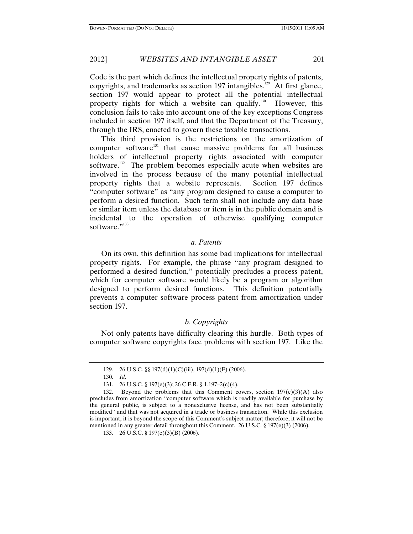Code is the part which defines the intellectual property rights of patents, copyrights, and trademarks as section 197 intangibles.<sup>129</sup> At first glance, section 197 would appear to protect all the potential intellectual property rights for which a website can qualify.<sup>130</sup> However, this conclusion fails to take into account one of the key exceptions Congress included in section 197 itself, and that the Department of the Treasury, through the IRS, enacted to govern these taxable transactions.

This third provision is the restrictions on the amortization of computer software<sup>131</sup> that cause massive problems for all business holders of intellectual property rights associated with computer software.<sup>132</sup> The problem becomes especially acute when websites are involved in the process because of the many potential intellectual property rights that a website represents. Section 197 defines "computer software" as "any program designed to cause a computer to perform a desired function. Such term shall not include any data base or similar item unless the database or item is in the public domain and is incidental to the operation of otherwise qualifying computer software."<sup>133</sup>

#### *a. Patents*

On its own, this definition has some bad implications for intellectual property rights. For example, the phrase "any program designed to performed a desired function," potentially precludes a process patent, which for computer software would likely be a program or algorithm designed to perform desired functions. This definition potentially prevents a computer software process patent from amortization under section 197.

### *b. Copyrights*

Not only patents have difficulty clearing this hurdle. Both types of computer software copyrights face problems with section 197. Like the

<sup>129. 26</sup> U.S.C. §§ 197(d)(1)(C)(iii), 197(d)(1)(F) (2006).

<sup>130.</sup> *Id*.

<sup>131. 26</sup> U.S.C. § 197(e)(3); 26 C.F.R. § 1.197–2(c)(4).

<sup>132.</sup> Beyond the problems that this Comment covers, section  $197(e)(3)(A)$  also precludes from amortization "computer software which is readily available for purchase by the general public, is subject to a nonexclusive license, and has not been substantially modified" and that was not acquired in a trade or business transaction. While this exclusion is important, it is beyond the scope of this Comment's subject matter; therefore, it will not be mentioned in any greater detail throughout this Comment. 26 U.S.C.  $\S 197(e)(3)$  (2006).

<sup>133. 26</sup> U.S.C. § 197(e)(3)(B) (2006).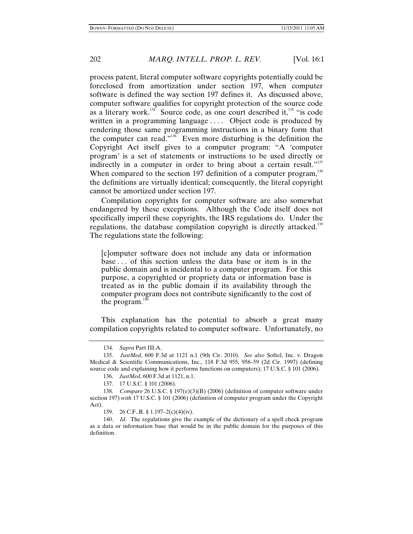process patent, literal computer software copyrights potentially could be foreclosed from amortization under section 197, when computer software is defined the way section 197 defines it. As discussed above, computer software qualifies for copyright protection of the source code as a literary work.<sup>134</sup> Source code, as one court described it,<sup>135</sup> "is code written in a programming language .... Object code is produced by rendering those same programming instructions in a binary form that the computer can read."<sup>136</sup> Even more disturbing is the definition the Copyright Act itself gives to a computer program: "A 'computer program' is a set of statements or instructions to be used directly or indirectly in a computer in order to bring about a certain result."<sup>137</sup> When compared to the section 197 definition of a computer program,  $138$ the definitions are virtually identical; consequently, the literal copyright cannot be amortized under section 197.

Compilation copyrights for computer software are also somewhat endangered by these exceptions. Although the Code itself does not specifically imperil these copyrights, the IRS regulations do. Under the regulations, the database compilation copyright is directly attacked.<sup>139</sup> The regulations state the following:

[c]omputer software does not include any data or information base . . . of this section unless the data base or item is in the public domain and is incidental to a computer program. For this purpose, a copyrighted or propriety data or information base is treated as in the public domain if its availability through the computer program does not contribute significantly to the cost of the program. $14$ 

This explanation has the potential to absorb a great many compilation copyrights related to computer software. Unfortunately, no

<sup>134.</sup> *Supra* Part III.A.

<sup>135.</sup> *JustMed*, 600 F.3d at 1121 n.1 (9th Cir. 2010). *See also* Softel, Inc. v. Dragon Medical & Scientific Communications, Inc., 118 F.3d 955, 958–59 (2d Cir. 1997) (defining source code and explaining how it performs functions on computers); 17 U.S.C. § 101 (2006).

<sup>136.</sup> *JustMed*, 600 F.3d at 1121, n.1.

<sup>137. 17</sup> U.S.C. § 101 (2006).

<sup>138.</sup> *Compare* 26 U.S.C. § 197(e)(3)(B) (2006) (definition of computer software under section 197) *with* 17 U.S.C. § 101 (2006) (definition of computer program under the Copyright Act).

<sup>139. 26</sup> C.F..R. § 1.197–2(c)(4)(iv).

<sup>140.</sup> *Id*. The regulations give the example of the dictionary of a spell check program as a data or information base that would be in the public domain for the purposes of this definition.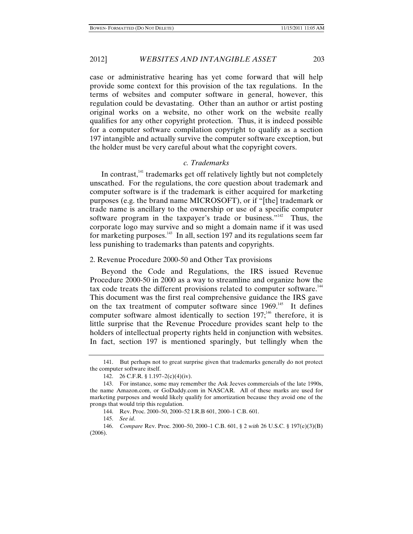case or administrative hearing has yet come forward that will help provide some context for this provision of the tax regulations. In the terms of websites and computer software in general, however, this regulation could be devastating. Other than an author or artist posting original works on a website, no other work on the website really qualifies for any other copyright protection. Thus, it is indeed possible for a computer software compilation copyright to qualify as a section 197 intangible and actually survive the computer software exception, but the holder must be very careful about what the copyright covers.

# *c. Trademarks*

In contrast, $141$ <sup>ta</sup> trademarks get off relatively lightly but not completely unscathed. For the regulations, the core question about trademark and computer software is if the trademark is either acquired for marketing purposes (e.g. the brand name MICROSOFT), or if "[the] trademark or trade name is ancillary to the ownership or use of a specific computer software program in the taxpayer's trade or business."<sup>142</sup> Thus, the corporate logo may survive and so might a domain name if it was used for marketing purposes. $143$  In all, section 197 and its regulations seem far less punishing to trademarks than patents and copyrights.

#### 2. Revenue Procedure 2000-50 and Other Tax provisions

Beyond the Code and Regulations, the IRS issued Revenue Procedure 2000-50 in 2000 as a way to streamline and organize how the tax code treats the different provisions related to computer software.<sup>144</sup> This document was the first real comprehensive guidance the IRS gave on the tax treatment of computer software since 1969.<sup>145</sup> It defines computer software almost identically to section  $197$ ;<sup>146</sup> therefore, it is little surprise that the Revenue Procedure provides scant help to the holders of intellectual property rights held in conjunction with websites. In fact, section 197 is mentioned sparingly, but tellingly when the

<sup>141.</sup> But perhaps not to great surprise given that trademarks generally do not protect the computer software itself.

<sup>142. 26</sup> C.F.R. § 1.197–2(c)(4)(iv).

<sup>143.</sup> For instance, some may remember the Ask Jeeves commercials of the late 1990s, the name Amazon.com, or GoDaddy.com in NASCAR. All of these marks are used for marketing purposes and would likely qualify for amortization because they avoid one of the prongs that would trip this regulation.

<sup>144.</sup> Rev. Proc. 2000–50, 2000–52 I.R.B 601, 2000–1 C.B. 601.

<sup>145.</sup> *See id*.

<sup>146.</sup> *Compare* Rev. Proc. 2000–50, 2000–1 C.B. 601, § 2 *with* 26 U.S.C. § 197(e)(3)(B) (2006).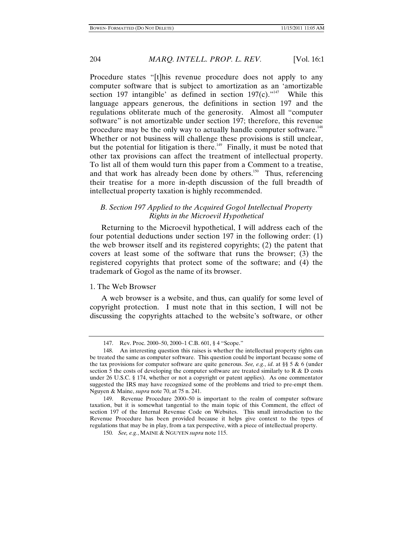Procedure states "[t]his revenue procedure does not apply to any computer software that is subject to amortization as an 'amortizable section 197 intangible' as defined in section  $197(c)$ ."<sup>147</sup> While this language appears generous, the definitions in section 197 and the regulations obliterate much of the generosity. Almost all "computer software" is not amortizable under section 197; therefore, this revenue procedure may be the only way to actually handle computer software.<sup>148</sup> Whether or not business will challenge these provisions is still unclear, but the potential for litigation is there.<sup>149</sup> Finally, it must be noted that other tax provisions can affect the treatment of intellectual property. To list all of them would turn this paper from a Comment to a treatise, and that work has already been done by others.<sup>150</sup> Thus, referencing their treatise for a more in-depth discussion of the full breadth of intellectual property taxation is highly recommended.

# *B. Section 197 Applied to the Acquired Gogol Intellectual Property Rights in the Microevil Hypothetical*

Returning to the Microevil hypothetical, I will address each of the four potential deductions under section 197 in the following order: (1) the web browser itself and its registered copyrights; (2) the patent that covers at least some of the software that runs the browser; (3) the registered copyrights that protect some of the software; and (4) the trademark of Gogol as the name of its browser.

#### 1. The Web Browser

A web browser is a website, and thus, can qualify for some level of copyright protection. I must note that in this section, I will not be discussing the copyrights attached to the website's software, or other

<sup>147.</sup> Rev. Proc. 2000–50, 2000–1 C.B. 601, § 4 "Scope."

<sup>148.</sup> An interesting question this raises is whether the intellectual property rights can be treated the same as computer software. This question could be important because some of the tax provisions for computer software are quite generous. *See, e.g.*, *id*. at §§ 5 & 6 (under section 5 the costs of developing the computer software are treated similarly to  $R \& D$  costs under 26 U.S.C. § 174, whether or not a copyright or patent applies). As one commentator suggested the IRS may have recognized some of the problems and tried to pre-empt them. Nguyen & Maine, *supra* note 70, at 75 n. 241.

<sup>149.</sup> Revenue Procedure 2000–50 is important to the realm of computer software taxation, but it is somewhat tangential to the main topic of this Comment, the effect of section 197 of the Internal Revenue Code on Websites. This small introduction to the Revenue Procedure has been provided because it helps give context to the types of regulations that may be in play, from a tax perspective, with a piece of intellectual property.

<sup>150</sup>*. See, e.g.*, MAINE & NGUYEN *supra* note 115.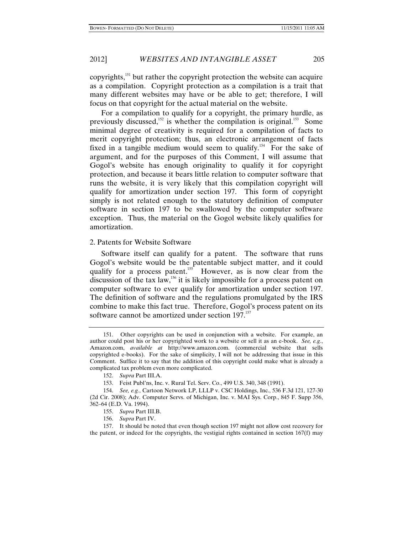copyrights, $151$  but rather the copyright protection the website can acquire as a compilation. Copyright protection as a compilation is a trait that many different websites may have or be able to get; therefore, I will focus on that copyright for the actual material on the website.

For a compilation to qualify for a copyright, the primary hurdle, as previously discussed,<sup>152</sup> is whether the compilation is original.<sup>153</sup> Some minimal degree of creativity is required for a compilation of facts to merit copyright protection; thus, an electronic arrangement of facts fixed in a tangible medium would seem to qualify.<sup>154</sup> For the sake of argument, and for the purposes of this Comment, I will assume that Gogol's website has enough originality to qualify it for copyright protection, and because it bears little relation to computer software that runs the website, it is very likely that this compilation copyright will qualify for amortization under section 197. This form of copyright simply is not related enough to the statutory definition of computer software in section 197 to be swallowed by the computer software exception. Thus, the material on the Gogol website likely qualifies for amortization.

#### 2. Patents for Website Software

Software itself can qualify for a patent. The software that runs Gogol's website would be the patentable subject matter, and it could qualify for a process patent.<sup>155</sup> However, as is now clear from the discussion of the tax  $\text{law}$ ,<sup>156</sup> it is likely impossible for a process patent on computer software to ever qualify for amortization under section 197. The definition of software and the regulations promulgated by the IRS combine to make this fact true. Therefore, Gogol's process patent on its software cannot be amortized under section 197.<sup>157</sup>

156. *Supra* Part IV.

157. It should be noted that even though section 197 might not allow cost recovery for the patent, or indeed for the copyrights, the vestigial rights contained in section  $167(f)$  may

<sup>151.</sup> Other copyrights can be used in conjunction with a website. For example, an author could post his or her copyrighted work to a website or sell it as an e-book. *See, e.g.*, Amazon.com, *available at* http://www.amazon.com. (commercial website that sells copyrighted e-books). For the sake of simplicity, I will not be addressing that issue in this Comment. Suffice it to say that the addition of this copyright could make what is already a complicated tax problem even more complicated.

<sup>152.</sup> *Supra* Part III.A.

<sup>153.</sup> Feist Publ'ns, Inc. v. Rural Tel. Serv. Co., 499 U.S. 340, 348 (1991).

<sup>154.</sup> *See, e.g.*, Cartoon Network LP, LLLP v. CSC Holdings, Inc., 536 F.3d 121, 127-30 (2d Cir. 2008); Adv. Computer Servs. of Michigan, Inc. v. MAI Sys. Corp., 845 F. Supp 356, 362–64 (E.D. Va. 1994).

<sup>155.</sup> *Supra* Part III.B.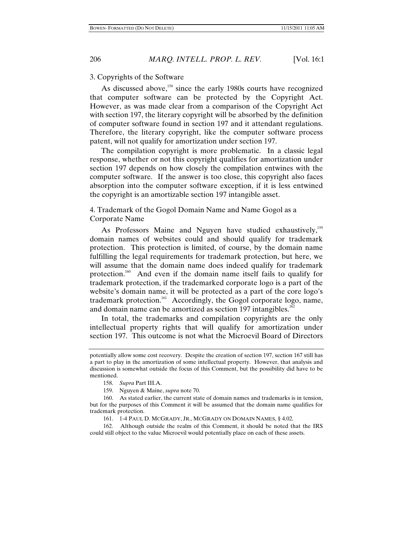#### 3. Copyrights of the Software

As discussed above,<sup>158</sup> since the early 1980s courts have recognized that computer software can be protected by the Copyright Act. However, as was made clear from a comparison of the Copyright Act with section 197, the literary copyright will be absorbed by the definition of computer software found in section 197 and it attendant regulations. Therefore, the literary copyright, like the computer software process patent, will not qualify for amortization under section 197.

The compilation copyright is more problematic. In a classic legal response, whether or not this copyright qualifies for amortization under section 197 depends on how closely the compilation entwines with the computer software. If the answer is too close, this copyright also faces absorption into the computer software exception, if it is less entwined the copyright is an amortizable section 197 intangible asset.

# 4. Trademark of the Gogol Domain Name and Name Gogol as a Corporate Name

As Professors Maine and Nguyen have studied exhaustively,<sup>159</sup> domain names of websites could and should qualify for trademark protection. This protection is limited, of course, by the domain name fulfilling the legal requirements for trademark protection, but here, we will assume that the domain name does indeed qualify for trademark protection.<sup>160</sup> And even if the domain name itself fails to qualify for trademark protection, if the trademarked corporate logo is a part of the website's domain name, it will be protected as a part of the core logo's trademark protection.<sup>161</sup> Accordingly, the Gogol corporate logo, name, and domain name can be amortized as section 197 intangibles.<sup>162</sup>

In total, the trademarks and compilation copyrights are the only intellectual property rights that will qualify for amortization under section 197. This outcome is not what the Microevil Board of Directors

162. Although outside the realm of this Comment, it should be noted that the IRS could still object to the value Microevil would potentially place on each of these assets.

potentially allow some cost recovery. Despite the creation of section 197, section 167 still has a part to play in the amortization of some intellectual property. However, that analysis and discussion is somewhat outside the focus of this Comment, but the possibility did have to be mentioned.

<sup>158.</sup> *Supra* Part III.A.

<sup>159.</sup> Nguyen & Maine, *supra* note 70.

<sup>160.</sup> As stated earlier, the current state of domain names and trademarks is in tension, but for the purposes of this Comment it will be assumed that the domain name qualifies for trademark protection.

<sup>161. 1-4</sup> PAUL D. MCGRADY, JR., MCGRADY ON DOMAIN NAMES, § 4.02.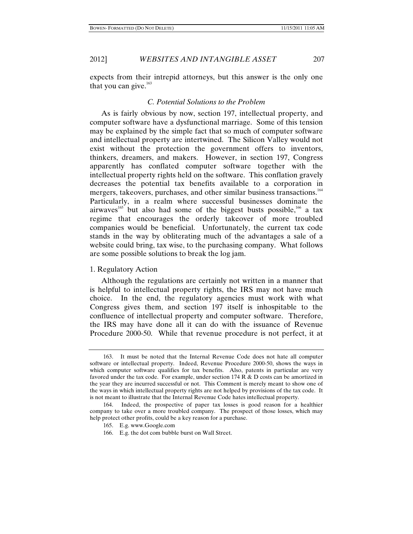expects from their intrepid attorneys, but this answer is the only one that you can give. $163$ 

#### *C. Potential Solutions to the Problem*

As is fairly obvious by now, section 197, intellectual property, and computer software have a dysfunctional marriage. Some of this tension may be explained by the simple fact that so much of computer software and intellectual property are intertwined. The Silicon Valley would not exist without the protection the government offers to inventors, thinkers, dreamers, and makers. However, in section 197, Congress apparently has conflated computer software together with the intellectual property rights held on the software. This conflation gravely decreases the potential tax benefits available to a corporation in mergers, takeovers, purchases, and other similar business transactions.<sup>164</sup> Particularly, in a realm where successful businesses dominate the airwaves<sup>165</sup> but also had some of the biggest busts possible,<sup>166</sup> a tax regime that encourages the orderly takeover of more troubled companies would be beneficial. Unfortunately, the current tax code stands in the way by obliterating much of the advantages a sale of a website could bring, tax wise, to the purchasing company. What follows are some possible solutions to break the log jam.

#### 1. Regulatory Action

Although the regulations are certainly not written in a manner that is helpful to intellectual property rights, the IRS may not have much choice. In the end, the regulatory agencies must work with what Congress gives them, and section 197 itself is inhospitable to the confluence of intellectual property and computer software. Therefore, the IRS may have done all it can do with the issuance of Revenue Procedure 2000-50. While that revenue procedure is not perfect, it at

<sup>163.</sup> It must be noted that the Internal Revenue Code does not hate all computer software or intellectual property. Indeed, Revenue Procedure 2000-50, shows the ways in which computer software qualifies for tax benefits. Also, patents in particular are very favored under the tax code. For example, under section 174 R & D costs can be amortized in the year they are incurred successful or not. This Comment is merely meant to show one of the ways in which intellectual property rights are not helped by provisions of the tax code. It is not meant to illustrate that the Internal Revenue Code hates intellectual property.

<sup>164.</sup> Indeed, the prospective of paper tax losses is good reason for a healthier company to take over a more troubled company. The prospect of those losses, which may help protect other profits, could be a key reason for a purchase.

<sup>165.</sup> E.g. www.Google.com

<sup>166.</sup> E.g. the dot com bubble burst on Wall Street.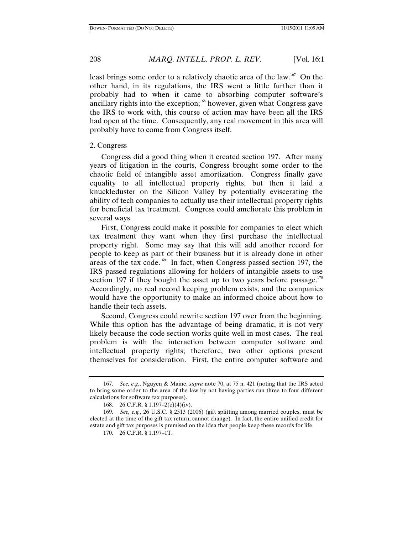least brings some order to a relatively chaotic area of the law.<sup>167</sup> On the other hand, in its regulations, the IRS went a little further than it probably had to when it came to absorbing computer software's ancillary rights into the exception;<sup>168</sup> however, given what Congress gave the IRS to work with, this course of action may have been all the IRS had open at the time. Consequently, any real movement in this area will probably have to come from Congress itself.

# 2. Congress

Congress did a good thing when it created section 197. After many years of litigation in the courts, Congress brought some order to the chaotic field of intangible asset amortization. Congress finally gave equality to all intellectual property rights, but then it laid a knuckleduster on the Silicon Valley by potentially eviscerating the ability of tech companies to actually use their intellectual property rights for beneficial tax treatment. Congress could ameliorate this problem in several ways.

First, Congress could make it possible for companies to elect which tax treatment they want when they first purchase the intellectual property right. Some may say that this will add another record for people to keep as part of their business but it is already done in other areas of the tax code.<sup>169</sup> In fact, when Congress passed section 197, the IRS passed regulations allowing for holders of intangible assets to use section 197 if they bought the asset up to two years before passage. $170$ Accordingly, no real record keeping problem exists, and the companies would have the opportunity to make an informed choice about how to handle their tech assets.

Second, Congress could rewrite section 197 over from the beginning. While this option has the advantage of being dramatic, it is not very likely because the code section works quite well in most cases. The real problem is with the interaction between computer software and intellectual property rights; therefore, two other options present themselves for consideration. First, the entire computer software and

<sup>167.</sup> *See, e.g.*, Nguyen & Maine, *supra* note 70, at 75 n. 421 (noting that the IRS acted to bring some order to the area of the law by not having parties run three to four different calculations for software tax purposes).

<sup>168. 26</sup> C.F.R. § 1.197–2(c)(4)(iv).

<sup>169.</sup> *See, e.g.*, 26 U.S.C. § 2513 (2006) (gift splitting among married couples, must be elected at the time of the gift tax return, cannot change). In fact, the entire unified credit for estate and gift tax purposes is premised on the idea that people keep these records for life.

<sup>170. 26</sup> C.F.R. § 1.197–1T.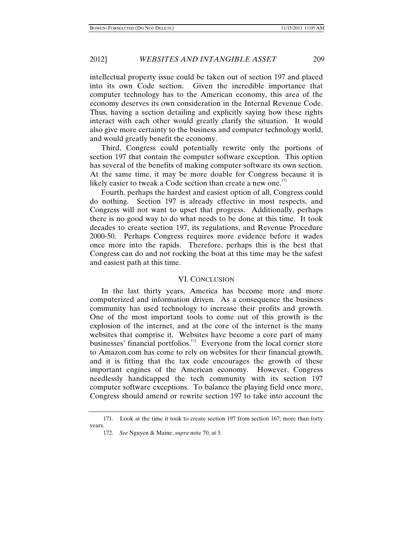intellectual property issue could be taken out of section 197 and placed into its own Code section. Given the incredible importance that computer technology has to the American economy, this area of the economy deserves its own consideration in the Internal Revenue Code. Thus, having a section detailing and explicitly saying how these rights interact with each other would greatly clarify the situation. It would also give more certainty to the business and computer technology world, and would greatly benefit the economy.

Third, Congress could potentially rewrite only the portions of section 197 that contain the computer software exception. This option has several of the benefits of making computer software its own section. At the same time, it may be more doable for Congress because it is likely easier to tweak a Code section than create a new one.<sup>171</sup>

Fourth, perhaps the hardest and easiest option of all, Congress could do nothing. Section 197 is already effective in most respects, and Congress will not want to upset that progress. Additionally, perhaps there is no good way to do what needs to be done at this time. It took decades to create section 197, its regulations, and Revenue Procedure 2000-50. Perhaps Congress requires more evidence before it wades once more into the rapids. Therefore, perhaps this is the best that Congress can do and not rocking the boat at this time may be the safest and easiest path at this time.

#### VI. CONCLUSION

In the last thirty years, America has become more and more computerized and information driven. As a consequence the business community has used technology to increase their profits and growth. One of the most important tools to come out of this growth is the explosion of the internet, and at the core of the internet is the many websites that comprise it. Websites have become a core part of many businesses' financial portfolios.<sup>172</sup> Everyone from the local corner store to Amazon.com has come to rely on websites for their financial growth, and it is fitting that the tax code encourages the growth of these important engines of the American economy. However, Congress needlessly handicapped the tech community with its section 197 computer software exceptions. To balance the playing field once more, Congress should amend or rewrite section 197 to take into account the

<sup>171.</sup> Look at the time it took to create section 197 from section 167; more than forty years.

<sup>172.</sup> *See* Nguyen & Maine, *supra* note 70, at 5.